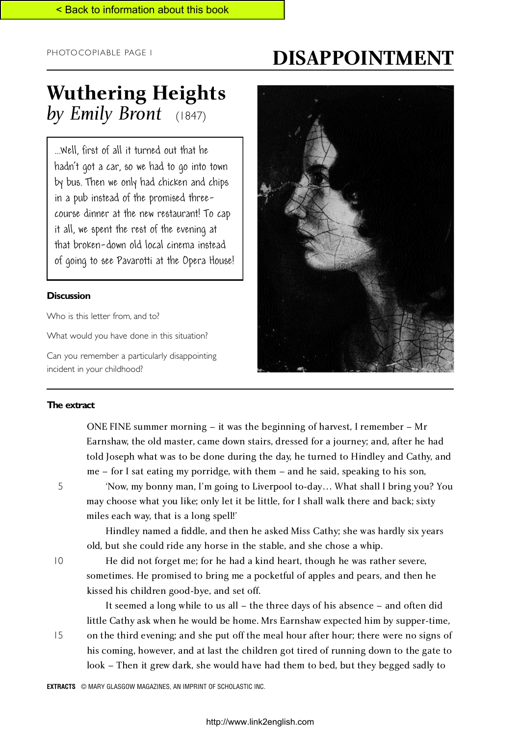# **DISAPPOINTMENT**

## **Wuthering Heights** *by Emily Bront* (1847)

...Well, first of all it turned out that he hadn't got a car, so we had to go into town by bus. Then we only had chicken and chips in a pub instead of the promised threecourse dinner at the new restaurant! To cap it all, we spent the rest of the evening at that broken-down old local cinema instead of going to see Pavarotti at the Opera House!

### **Discussion**

Who is this letter from, and to?

What would you have done in this situation?

Can you remember a particularly disappointing incident in your childhood?



#### **The extract**

ONE FINE summer morning – it was the beginning of harvest, I remember – Mr Earnshaw, the old master, came down stairs, dressed for a journey; and, after he had told Joseph what was to be done during the day, he turned to Hindley and Cathy, and me – for I sat eating my porridge, with them – and he said, speaking to his son,

5

'Now, my bonny man, I'm going to Liverpool to-day… What shall I bring you? You may choose what you like; only let it be little, for I shall walk there and back; sixty miles each way, that is a long spell!'

Hindley named a fiddle, and then he asked Miss Cathy; she was hardly six years old, but she could ride any horse in the stable, and she chose a whip.

10

15

He did not forget me; for he had a kind heart, though he was rather severe, sometimes. He promised to bring me a pocketful of apples and pears, and then he kissed his children good-bye, and set off.

It seemed a long while to us all – the three days of his absence – and often did little Cathy ask when he would be home. Mrs Earnshaw expected him by supper-time,

on the third evening; and she put off the meal hour after hour; there were no signs of his coming, however, and at last the children got tired of running down to the gate to look – Then it grew dark, she would have had them to bed, but they begged sadly to

**EXTRACTS** © MARY GLASGOW MAGAZINES, AN IMPRINT OF SCHOLASTIC INC.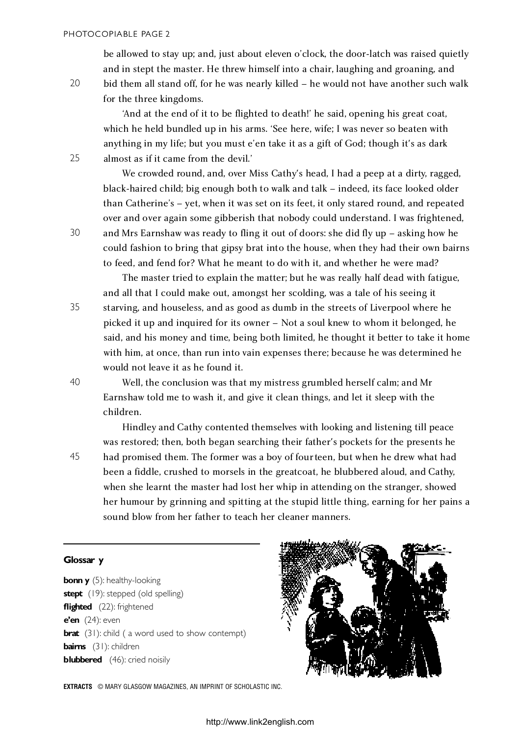be allowed to stay up; and, just about eleven o'clock, the door-latch was raised quietly and in stept the master. He threw himself into a chair, laughing and groaning, and bid them all stand off, for he was nearly killed – he would not have another such walk for the three kingdoms.

'And at the end of it to be flighted to death!' he said, opening his great coat, which he held bundled up in his arms. 'See here, wife; I was never so beaten with anything in my life; but you must e'en take it as a gift of God; though it's as dark almost as if it came from the devil.'

We crowded round, and, over Miss Cathy's head, I had a peep at a dirty, ragged, black-haired child; big enough both to walk and talk – indeed, its face looked older than Catherine's – yet, when it was set on its feet, it only stared round, and repeated over and over again some gibberish that nobody could understand. I was frightened, and Mrs Earnshaw was ready to fling it out of doors: she did fly up – asking how he could fashion to bring that gipsy brat into the house, when they had their own bairns to feed, and fend for? What he meant to do with it, and whether he were mad?

The master tried to explain the matter; but he was really half dead with fatigue, and all that I could make out, amongst her scolding, was a tale of his seeing it starving, and houseless, and as good as dumb in the streets of Liverpool where he picked it up and inquired for its owner – Not a soul knew to whom it belonged, he said, and his money and time, being both limited, he thought it better to take it home with him, at once, than run into vain expenses there; because he was determined he would not leave it as he found it.

Well, the conclusion was that my mistress grumbled herself calm; and Mr Earnshaw told me to wash it, and give it clean things, and let it sleep with the children.

Hindley and Cathy contented themselves with looking and listening till peace was restored; then, both began searching their father's pockets for the presents he had promised them. The former was a boy of fourteen, but when he drew what had been a fiddle, crushed to morsels in the greatcoat, he blubbered aloud, and Cathy, when she learnt the master had lost her whip in attending on the stranger, showed her humour by grinning and spitting at the stupid little thing, earning for her pains a sound blow from her father to teach her cleaner manners.

#### **Glossar y**

**bonn y** (5): healthy-looking **stept** (19): stepped (old spelling) **flighted** (22): frightened **e'en** (24): even **brat** (31): child ( a word used to show contempt) **bairns** (31): children **blubbered** (46): cried noisily



**EXTRACTS** © MARY GLASGOW MAGAZINES, AN IMPRINT OF SCHOLASTIC INC.

20

25

30

35

40

45